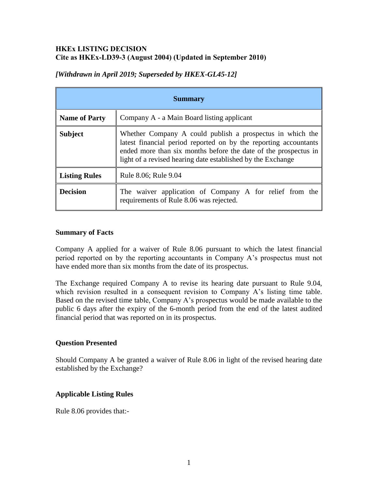## **HKEx LISTING DECISION Cite as HKEx-LD39-3 (August 2004) (Updated in September 2010)**

| <b>Summary</b>       |                                                                                                                                                                                                                                                                 |
|----------------------|-----------------------------------------------------------------------------------------------------------------------------------------------------------------------------------------------------------------------------------------------------------------|
| <b>Name of Party</b> | Company A - a Main Board listing applicant                                                                                                                                                                                                                      |
| <b>Subject</b>       | Whether Company A could publish a prospectus in which the<br>latest financial period reported on by the reporting accountants<br>ended more than six months before the date of the prospectus in<br>light of a revised hearing date established by the Exchange |
| <b>Listing Rules</b> | Rule 8.06; Rule 9.04                                                                                                                                                                                                                                            |
| <b>Decision</b>      | The waiver application of Company A for relief from the<br>requirements of Rule 8.06 was rejected.                                                                                                                                                              |

# *[Withdrawn in April 2019; Superseded by HKEX-GL45-12]*

## **Summary of Facts**

Company A applied for a waiver of Rule 8.06 pursuant to which the latest financial period reported on by the reporting accountants in Company A's prospectus must not have ended more than six months from the date of its prospectus.

The Exchange required Company A to revise its hearing date pursuant to Rule 9.04, which revision resulted in a consequent revision to Company A's listing time table. Based on the revised time table, Company A's prospectus would be made available to the public 6 days after the expiry of the 6-month period from the end of the latest audited financial period that was reported on in its prospectus.

## **Question Presented**

Should Company A be granted a waiver of Rule 8.06 in light of the revised hearing date established by the Exchange?

# **Applicable Listing Rules**

Rule 8.06 provides that:-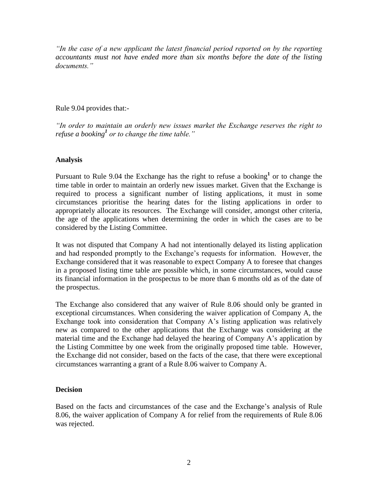*"In the case of a new applicant the latest financial period reported on by the reporting accountants must not have ended more than six months before the date of the listing documents."*

#### Rule 9.04 provides that:-

*"In order to maintain an orderly new issues market the Exchange reserves the right to refuse a booking<sup>1</sup> or to change the time table."*

## **Analysis**

Pursuant to Rule 9.04 the Exchange has the right to refuse a booking<sup>1</sup> or to change the time table in order to maintain an orderly new issues market. Given that the Exchange is required to process a significant number of listing applications, it must in some circumstances prioritise the hearing dates for the listing applications in order to appropriately allocate its resources. The Exchange will consider, amongst other criteria, the age of the applications when determining the order in which the cases are to be considered by the Listing Committee.

It was not disputed that Company A had not intentionally delayed its listing application and had responded promptly to the Exchange's requests for information. However, the Exchange considered that it was reasonable to expect Company A to foresee that changes in a proposed listing time table are possible which, in some circumstances, would cause its financial information in the prospectus to be more than 6 months old as of the date of the prospectus.

The Exchange also considered that any waiver of Rule 8.06 should only be granted in exceptional circumstances. When considering the waiver application of Company A, the Exchange took into consideration that Company A's listing application was relatively new as compared to the other applications that the Exchange was considering at the material time and the Exchange had delayed the hearing of Company A's application by the Listing Committee by one week from the originally proposed time table. However, the Exchange did not consider, based on the facts of the case, that there were exceptional circumstances warranting a grant of a Rule 8.06 waiver to Company A.

#### **Decision**

Based on the facts and circumstances of the case and the Exchange's analysis of Rule 8.06, the waiver application of Company A for relief from the requirements of Rule 8.06 was rejected.